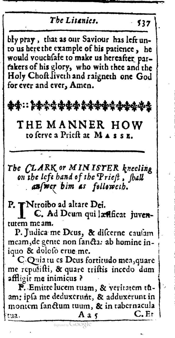The Litenies  $537$ bly pray, that as our Saviour has left unto us here the example of his patience, he would vouchfafe to make us hereafter partakers of his glory, who with thee and the Holy Choft liveth and raigneth one God for ever and ever, Amen. **₽₽∷⋡⋫**☆⋠<del>⋭</del>⋬⋬⋬⋬⋬⋬⋬⋠⋬⋬⋬ THE MANNER HOW to ferve a Priest at MASSE. The CLARK or MINISTER kneeling<br>on the left hand of the Prieft, fhall auswer bim as followeih. P. TNtroibo ad altare Dei.<br>I C. Ad Deum qui lætificat juventutem me am. P. Judica me Deus, & difcerne caufam meam, de gente non fancta: ab homine iniquo & dolofo erue me. C-Quia tu es Deus fortitudo mea, quare

me reputifti, & quare triftis incedo dum affligit me inimicus ?

P. Emitte lucem tuam, & veritatem tuam; ipfa me deduxerunt, & adduxerunt in montem fanctum tuum, & in tabernacula  $C.Et$ Aa $\zeta$ tua.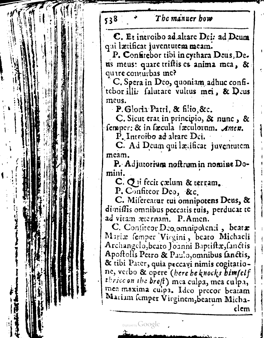| The manuer how<br>538                                                                                                                                                                                                                                                                                                                                                                                                                                                                                                                                                                                                                                                                                                                                                                                                                                                                                                                                                                                                                                                                                                       |
|-----------------------------------------------------------------------------------------------------------------------------------------------------------------------------------------------------------------------------------------------------------------------------------------------------------------------------------------------------------------------------------------------------------------------------------------------------------------------------------------------------------------------------------------------------------------------------------------------------------------------------------------------------------------------------------------------------------------------------------------------------------------------------------------------------------------------------------------------------------------------------------------------------------------------------------------------------------------------------------------------------------------------------------------------------------------------------------------------------------------------------|
| C. Et introibo ad altare Dei: ad Deum<br>qui lætificat juventutem meam.<br>P. Confirebor tibi in cythara Deus, De.<br>us meus: quare tristis es anima mea, &<br>quire conturbas me?<br>C. Spera in Deo, quoniam adhuc confi-<br>tebor illi. falutare vultus mei, & Deus<br>meus.<br>P. Gloria Patri, & filio, &c.<br>C. Sicut erat in principio, & nunc, &<br>femper: & in facula faculorum. Amen.<br>P. Introibo ad altare Dei.<br>C. Ad Deum qui lætificat juventutem<br>meam.<br>P. Adjutorium noftrum in nomine Do-<br>mini.<br>C. Q ii fecit çælum & terram.<br>P. Confireor Deo, &c.<br>C. Mifereatur tui omnipotens Deus, &<br>dimiffis omnibus peccatis tuis, perducat to<br>ad vitam æternam. P.Amen.<br>C. Confiteor Deo, omnipolenti, beatz<br>Mariæ femper Virgini, beato Michaeli<br>Archangelo,beato Joanni Baptiftx, fanctis<br>Apostolis Petro & Paulo, omnibus fanctis,<br>& tibi Pater, quia peccayi nimis cogitatio-<br>ne, verbo & opere (here he knocks bimfelf<br>thrice on the breft) mea culpa, mea culpa,<br>mea maxima cuipa. Ideo precor beatam<br>Mariam femper Virginem, beatum Micha-<br>elem |
| Digitized by Google                                                                                                                                                                                                                                                                                                                                                                                                                                                                                                                                                                                                                                                                                                                                                                                                                                                                                                                                                                                                                                                                                                         |
|                                                                                                                                                                                                                                                                                                                                                                                                                                                                                                                                                                                                                                                                                                                                                                                                                                                                                                                                                                                                                                                                                                                             |
|                                                                                                                                                                                                                                                                                                                                                                                                                                                                                                                                                                                                                                                                                                                                                                                                                                                                                                                                                                                                                                                                                                                             |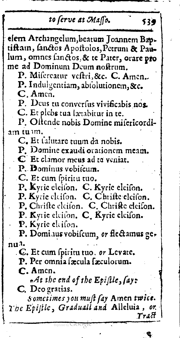| to ferve at Masso.                                                                                                                                                                                                                                                                                | 539   |
|---------------------------------------------------------------------------------------------------------------------------------------------------------------------------------------------------------------------------------------------------------------------------------------------------|-------|
| elem Archangelum, beatum Joannem Bap-<br>tiftam, fanctos Apostolos, Petrum & Pau-<br>lum, omnes sanctos, & te Pater, orare pro<br>me ad Dominum Deum noftrum.<br>P. Mifereatur veftri, &c. C. Amen.<br>P. Indulgentiam, abiolutionem, &c.<br>$C$ . Amen.<br>P. Deus tu conversus vivificabis nos. |       |
| C. Et plebs tua lætabitur in te.<br>P. Oftende nobis Domine mifericordi-                                                                                                                                                                                                                          |       |
| am tuum.<br>C. Et falutare tuum da nobis.<br>P. Domine exaudi orationem meam.<br>${\mathbb C}$ Et clamor meus ad to veniat.<br>P. Dominus vobifcum.                                                                                                                                               |       |
| .C. Et cum spiritu tuo.<br>P, Kyric eleiton. C. Kyric eleiton.<br>P. Kyric eleiton. C. Chrifte eleiton.<br>P. Chrifte eleiton. C. Chrifte eleiton.<br>P. Kyrie eleifon. C. Kyrie eleifon.                                                                                                         |       |
| P. Kyrie elcifon.<br>P. Dominus vobifcum, or flectamus ge-                                                                                                                                                                                                                                        |       |
| nu <sup>3.</sup><br>. C. Et cum spiritu tuo. or Levate.<br>P. Per omnia facula faculorum.<br>C. Amen.                                                                                                                                                                                             |       |
| $A$ t the end of the Epistle, fay:<br>C. Deo gratias.<br>Sometimes you must fay Amen twice.<br>The Epistle, Graduall and Alleluia, or                                                                                                                                                             | Tract |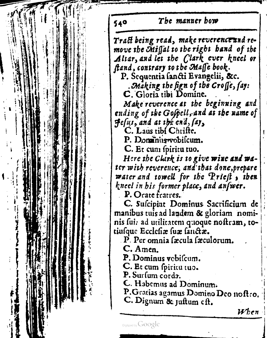549 The manner how Trafi being read, make reverence and remove the GMigal to the right hand of the Altar, and let the Clark ever kneel or ftand, contrary to the Maffe book: P. Sequentia fancti Evangelii, &c.<br>Making the fign of the Croffe, fay:  $C$ . Gloria tibi Domine. Make reverence at the beginning and ending of the Gospell, and at the name of<br>Hesus, and at the end, say, C. Laus tibl Chrifte.<br>P. Dominis vobilcum. C. Et cum fpiritu tuo.<br>Here the Clark is to give wine and t<br>ter with reverence, and that done, prep<br>water and towell for the Prieft, the<br>kneel in his former place, and anfwer. C. Et cum fpiritu tuo. Here the Clark is to give wine and water with reverence, and that done, prepare <sup>|</sup> water and towell for the Priefi , then kneel in his former place, and answer.<br>P. Orate fratres. **IX** } | C. Sufcipiat Dominus Sacrificium de t. manibus tuisad laudem & gloriam nomi i ( त । nis fui: ad utilitatem quoque nostram, to-<br>tiusque Ecclesiae suae fanctae. - }  $\overline{\mathbf{P}}$ . Per omnia fæcula fæculorum. ||  $\mathbf{f}$ C. Amen. P. Dominus vobifcum. |C. Et cum spiritu tuo.<br>P. Surfum cords. |C. Habemus ad Dominum. |P.Gratias agamus Domino Deo noftro,<br>C. Dignum & Juftum eft. | $When$ ||Digited by Google |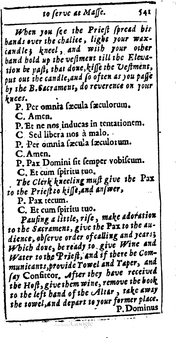## to ferve at Maffe.

541

When you (ce the Prieft (pread bis hands over the chalice, light your waxcandle; kneel, and with your other band hold up the veftment till the Elevation be paft's that done, kiffe the Veftment, put out the candle, and fo often as you paffe by the B. Sacrament, do reverence on rour knees.

P. Per omnia facula faculorum.

C. Amen.

P. Et ne nos inducas in tentationem.

C. Sed libera nos à malo.

P. Per omnia facula faculorum.

C. Amen.

P. Pax Domini fit femper vobifcum.

C. Et cum spiritu tuo.

The Clerk kneeling muft give the Pax to the Priest to kisse, and an wer,

P. Pax recum.

C. Et cum spiritu tuo.

Paufing a little, rife, make adoration to the Sacrament, give the Pax to the audience, abserve order of calling and years; Which dove, be ready to give Wine and Water to the Prieft, and if there be Communicants, provide Towel and Taper, and fay Confireor. After they have received the Hoft, give them wine, remove the book to the left hand of the Altar, take away the towel, and depart to your former place. P. Dominus